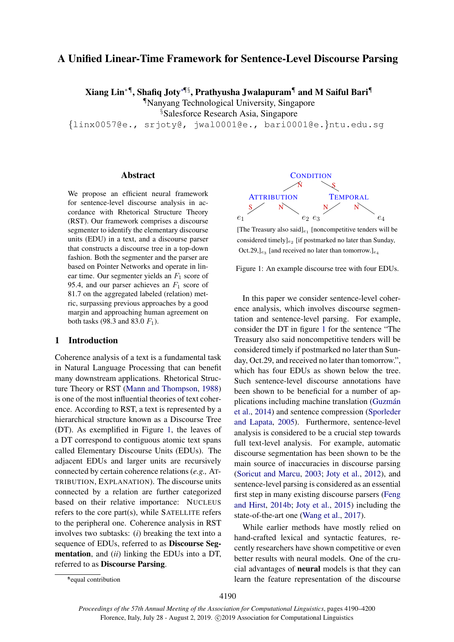# A Unified Linear-Time Framework for Sentence-Level Discourse Parsing

Xiang Lin∗¶, Shafiq Joty∗¶§, Prathyusha Jwalapuram¶ and M Saiful Bari¶

¶Nanyang Technological University, Singapore

§Salesforce Research Asia, Singapore

{linx0057@e., srjoty@, jwal0001@e., bari0001@e.}ntu.edu.sg

#### Abstract

We propose an efficient neural framework for sentence-level discourse analysis in accordance with Rhetorical Structure Theory (RST). Our framework comprises a discourse segmenter to identify the elementary discourse units (EDU) in a text, and a discourse parser that constructs a discourse tree in a top-down fashion. Both the segmenter and the parser are based on Pointer Networks and operate in linear time. Our segmenter yields an  $F_1$  score of 95.4, and our parser achieves an  $F_1$  score of 81.7 on the aggregated labeled (relation) metric, surpassing previous approaches by a good margin and approaching human agreement on both tasks (98.3 and 83.0  $F_1$ ).

#### 1 Introduction

Coherence analysis of a text is a fundamental task in Natural Language Processing that can benefit many downstream applications. Rhetorical Structure Theory or RST [\(Mann and Thompson,](#page-9-0) [1988\)](#page-9-0) is one of the most influential theories of text coherence. According to RST, a text is represented by a hierarchical structure known as a Discourse Tree (DT). As exemplified in Figure [1,](#page-0-0) the leaves of a DT correspond to contiguous atomic text spans called Elementary Discourse Units (EDUs). The adjacent EDUs and larger units are recursively connected by certain coherence relations (*e.g.,* AT-TRIBUTION, EXPLANATION). The discourse units connected by a relation are further categorized based on their relative importance: NUCLEUS refers to the core part(s), while SATELLITE refers to the peripheral one. Coherence analysis in RST involves two subtasks: (*i*) breaking the text into a sequence of EDUs, referred to as Discourse Segmentation, and (*ii*) linking the EDUs into a DT, referred to as Discourse Parsing.

<span id="page-0-0"></span>

[The Treasury also said] $_{e_1}$  [noncompetitive tenders will be considered timely] $_{e_2}$  [if postmarked no later than Sunday, Oct.29,  $]_{e_3}$  [and received no later than tomorrow.] $_{e_4}$ 

Figure 1: An example discourse tree with four EDUs.

In this paper we consider sentence-level coherence analysis, which involves discourse segmentation and sentence-level parsing. For example, consider the DT in figure [1](#page-0-0) for the sentence "The Treasury also said noncompetitive tenders will be considered timely if postmarked no later than Sunday, Oct.29, and received no later than tomorrow.", which has four EDUs as shown below the tree. Such sentence-level discourse annotations have been shown to be beneficial for a number of applications including machine translation (Guzmán [et al.,](#page-9-1) [2014\)](#page-9-1) and sentence compression [\(Sporleder](#page-10-0) [and Lapata,](#page-10-0) [2005\)](#page-10-0). Furthermore, sentence-level analysis is considered to be a crucial step towards full text-level analysis. For example, automatic discourse segmentation has been shown to be the main source of inaccuracies in discourse parsing [\(Soricut and Marcu,](#page-10-1) [2003;](#page-10-1) [Joty et al.,](#page-9-2) [2012\)](#page-9-2), and sentence-level parsing is considered as an essential first step in many existing discourse parsers [\(Feng](#page-9-3) [and Hirst,](#page-9-3) [2014b;](#page-9-3) [Joty et al.,](#page-9-4) [2015\)](#page-9-4) including the state-of-the-art one [\(Wang et al.,](#page-10-2) [2017\)](#page-10-2).

While earlier methods have mostly relied on hand-crafted lexical and syntactic features, recently researchers have shown competitive or even better results with neural models. One of the crucial advantages of neural models is that they can learn the feature representation of the discourse

<sup>∗</sup> \*equal contribution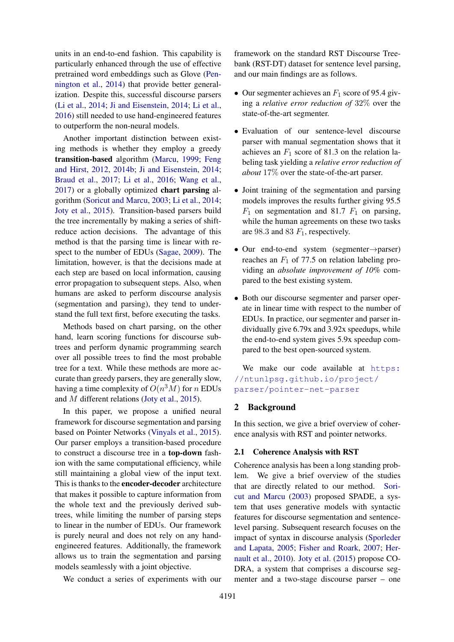units in an end-to-end fashion. This capability is particularly enhanced through the use of effective pretrained word embeddings such as Glove [\(Pen](#page-10-3)[nington et al.,](#page-10-3) [2014\)](#page-10-3) that provide better generalization. Despite this, successful discourse parsers [\(Li et al.,](#page-9-5) [2014;](#page-9-5) [Ji and Eisenstein,](#page-9-6) [2014;](#page-9-6) [Li et al.,](#page-9-7) [2016\)](#page-9-7) still needed to use hand-engineered features to outperform the non-neural models.

Another important distinction between existing methods is whether they employ a greedy transition-based algorithm [\(Marcu,](#page-9-8) [1999;](#page-9-8) [Feng](#page-9-9) [and Hirst,](#page-9-9) [2012,](#page-9-9) [2014b;](#page-9-3) [Ji and Eisenstein,](#page-9-6) [2014;](#page-9-6) [Braud et al.,](#page-9-10) [2017;](#page-9-10) [Li et al.,](#page-9-7) [2016;](#page-9-7) [Wang et al.,](#page-10-2) [2017\)](#page-10-2) or a globally optimized chart parsing algorithm [\(Soricut and Marcu,](#page-10-1) [2003;](#page-10-1) [Li et al.,](#page-9-5) [2014;](#page-9-5) [Joty et al.,](#page-9-4) [2015\)](#page-9-4). Transition-based parsers build the tree incrementally by making a series of shiftreduce action decisions. The advantage of this method is that the parsing time is linear with respect to the number of EDUs [\(Sagae,](#page-10-4) [2009\)](#page-10-4). The limitation, however, is that the decisions made at each step are based on local information, causing error propagation to subsequent steps. Also, when humans are asked to perform discourse analysis (segmentation and parsing), they tend to understand the full text first, before executing the tasks.

Methods based on chart parsing, on the other hand, learn scoring functions for discourse subtrees and perform dynamic programming search over all possible trees to find the most probable tree for a text. While these methods are more accurate than greedy parsers, they are generally slow, having a time complexity of  $O(n^3M)$  for n EDUs and M different relations [\(Joty et al.,](#page-9-4) [2015\)](#page-9-4).

In this paper, we propose a unified neural framework for discourse segmentation and parsing based on Pointer Networks [\(Vinyals et al.,](#page-10-5) [2015\)](#page-10-5). Our parser employs a transition-based procedure to construct a discourse tree in a top-down fashion with the same computational efficiency, while still maintaining a global view of the input text. This is thanks to the encoder-decoder architecture that makes it possible to capture information from the whole text and the previously derived subtrees, while limiting the number of parsing steps to linear in the number of EDUs. Our framework is purely neural and does not rely on any handengineered features. Additionally, the framework allows us to train the segmentation and parsing models seamlessly with a joint objective.

We conduct a series of experiments with our

framework on the standard RST Discourse Treebank (RST-DT) dataset for sentence level parsing, and our main findings are as follows.

- Our segmenter achieves an  $F_1$  score of 95.4 giving a *relative error reduction of* 32% over the state-of-the-art segmenter.
- Evaluation of our sentence-level discourse parser with manual segmentation shows that it achieves an  $F_1$  score of 81.3 on the relation labeling task yielding a *relative error reduction of about* 17% over the state-of-the-art parser.
- Joint training of the segmentation and parsing models improves the results further giving 95.5  $F_1$  on segmentation and 81.7  $F_1$  on parsing, while the human agreements on these two tasks are 98.3 and 83  $F_1$ , respectively.
- Our end-to-end system (segmenter→parser) reaches an  $F_1$  of 77.5 on relation labeling providing an *absolute improvement of 10%* compared to the best existing system.
- Both our discourse segmenter and parser operate in linear time with respect to the number of EDUs. In practice, our segmenter and parser individually give 6.79x and 3.92x speedups, while the end-to-end system gives 5.9x speedup compared to the best open-sourced system.

We make our code available at [https:](https://ntunlpsg.github.io/project/parser/pointer-net-parser) [//ntunlpsg.github.io/project/](https://ntunlpsg.github.io/project/parser/pointer-net-parser) [parser/pointer-net-parser](https://ntunlpsg.github.io/project/parser/pointer-net-parser)

## 2 Background

In this section, we give a brief overview of coherence analysis with RST and pointer networks.

#### 2.1 Coherence Analysis with RST

Coherence analysis has been a long standing problem. We give a brief overview of the studies that are directly related to our method. [Sori](#page-10-1)[cut and Marcu](#page-10-1) [\(2003\)](#page-10-1) proposed SPADE, a system that uses generative models with syntactic features for discourse segmentation and sentencelevel parsing. Subsequent research focuses on the impact of syntax in discourse analysis [\(Sporleder](#page-10-0) [and Lapata,](#page-10-0) [2005;](#page-10-0) [Fisher and Roark,](#page-9-11) [2007;](#page-9-11) [Her](#page-9-12)[nault et al.,](#page-9-12) [2010\)](#page-9-12). [Joty et al.](#page-9-4) [\(2015\)](#page-9-4) propose CO-DRA, a system that comprises a discourse segmenter and a two-stage discourse parser – one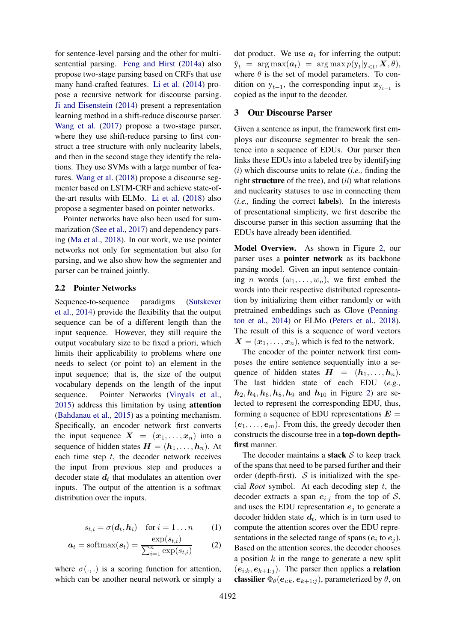for sentence-level parsing and the other for multisentential parsing. [Feng and Hirst](#page-9-13) [\(2014a\)](#page-9-13) also propose two-stage parsing based on CRFs that use many hand-crafted features. [Li et al.](#page-9-5) [\(2014\)](#page-9-5) propose a recursive network for discourse parsing. [Ji and Eisenstein](#page-9-6) [\(2014\)](#page-9-6) present a representation learning method in a shift-reduce discourse parser. [Wang et al.](#page-10-2) [\(2017\)](#page-10-2) propose a two-stage parser, where they use shift-reduce parsing to first construct a tree structure with only nuclearity labels, and then in the second stage they identify the relations. They use SVMs with a large number of features. [Wang et al.](#page-10-6) [\(2018\)](#page-10-6) propose a discourse segmenter based on LSTM-CRF and achieve state-ofthe-art results with ELMo. [Li et al.](#page-9-14) [\(2018\)](#page-9-14) also propose a segmenter based on pointer networks.

Pointer networks have also been used for summarization [\(See et al.,](#page-10-7) [2017\)](#page-10-7) and dependency parsing [\(Ma et al.,](#page-9-15) [2018\)](#page-9-15). In our work, we use pointer networks not only for segmentation but also for parsing, and we also show how the segmenter and parser can be trained jointly.

#### 2.2 Pointer Networks

Sequence-to-sequence paradigms [\(Sutskever](#page-10-8) [et al.,](#page-10-8) [2014\)](#page-10-8) provide the flexibility that the output sequence can be of a different length than the input sequence. However, they still require the output vocabulary size to be fixed a priori, which limits their applicability to problems where one needs to select (or point to) an element in the input sequence; that is, the size of the output vocabulary depends on the length of the input sequence. Pointer Networks [\(Vinyals et al.,](#page-10-5) [2015\)](#page-10-5) address this limitation by using attention [\(Bahdanau et al.,](#page-9-16) [2015\)](#page-9-16) as a pointing mechanism. Specifically, an encoder network first converts the input sequence  $X = (x_1, \ldots, x_n)$  into a sequence of hidden states  $H = (h_1, \ldots, h_n)$ . At each time step  $t$ , the decoder network receives the input from previous step and produces a decoder state  $d_t$  that modulates an attention over inputs. The output of the attention is a softmax distribution over the inputs.

<span id="page-2-0"></span>
$$
s_{t,i} = \sigma(\boldsymbol{d}_t, \boldsymbol{h}_i) \quad \text{for } i = 1 \dots n \qquad (1)
$$

$$
\boldsymbol{a}_t = \text{softmax}(\boldsymbol{s}_t) = \frac{\exp(s_{t,i})}{\sum_{i=1}^n \exp(s_{t,i})}
$$
(2)

where  $\sigma(.,.)$  is a scoring function for attention, which can be another neural network or simply a dot product. We use  $a_t$  for inferring the output:  $\hat{\textnormal{y}}_t \;=\; \arg \max(\boldsymbol{a}_t) \;=\; \arg \max p(\textnormal{y}_t|\textnormal{y}_{< t},\boldsymbol{X},\theta),$ where  $\theta$  is the set of model parameters. To condition on  $y_{t-1}$ , the corresponding input  $x_{y_{t-1}}$  is copied as the input to the decoder.

## <span id="page-2-1"></span>3 Our Discourse Parser

Given a sentence as input, the framework first employs our discourse segmenter to break the sentence into a sequence of EDUs. Our parser then links these EDUs into a labeled tree by identifying (*i*) which discourse units to relate (*i.e.,* finding the right structure of the tree), and (*ii*) what relations and nuclearity statuses to use in connecting them (*i.e.,* finding the correct labels). In the interests of presentational simplicity, we first describe the discourse parser in this section assuming that the EDUs have already been identified.

Model Overview. As shown in Figure [2,](#page-3-0) our parser uses a pointer network as its backbone parsing model. Given an input sentence containing *n* words  $(w_1, \ldots, w_n)$ , we first embed the words into their respective distributed representation by initializing them either randomly or with pretrained embeddings such as Glove [\(Penning](#page-10-3)[ton et al.,](#page-10-3) [2014\)](#page-10-3) or ELMo [\(Peters et al.,](#page-10-9) [2018\)](#page-10-9). The result of this is a sequence of word vectors  $X = (x_1, \ldots, x_n)$ , which is fed to the network.

The encoder of the pointer network first composes the entire sentence sequentially into a sequence of hidden states  $H = (h_1, \ldots, h_n)$ . The last hidden state of each EDU (*e.g.,*  $h_2$ ,  $h_4$ ,  $h_6$ ,  $h_8$ ,  $h_9$  and  $h_{10}$  in Figure [2\)](#page-3-0) are selected to represent the corresponding EDU, thus, forming a sequence of EDU representations  $E =$  $(e_1, \ldots, e_m)$ . From this, the greedy decoder then constructs the discourse tree in a top-down depthfirst manner.

The decoder maintains a **stack**  $S$  to keep track of the spans that need to be parsed further and their order (depth-first).  $S$  is initialized with the special *Root* symbol. At each decoding step t, the decoder extracts a span  $e_{i:j}$  from the top of S, and uses the EDU representation  $e_i$  to generate a decoder hidden state  $d_t$ , which is in turn used to compute the attention scores over the EDU representations in the selected range of spans ( $e_i$  to  $e_j$ ). Based on the attention scores, the decoder chooses a position  $k$  in the range to generate a new split  $(e_{i:k}, e_{k+1:j})$ . The parser then applies a **relation** classifier  $\Phi_{\theta}(e_{i:k}, e_{k+1:j})$ , parameterized by  $\theta$ , on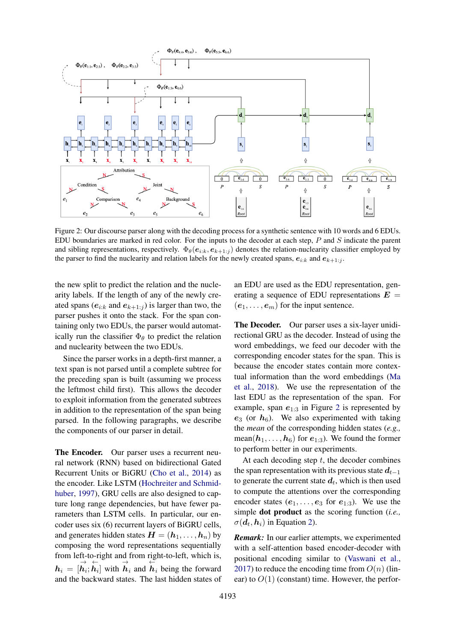<span id="page-3-0"></span>

Figure 2: Our discourse parser along with the decoding process for a synthetic sentence with 10 words and 6 EDUs. EDU boundaries are marked in red color. For the inputs to the decoder at each step,  $P$  and  $S$  indicate the parent and sibling representations, respectively.  $\Phi_{\theta}(e_{i:k}, e_{k+1:j})$  denotes the relation-nuclearity classifier employed by the parser to find the nuclearity and relation labels for the newly created spans,  $e_{i:k}$  and  $e_{k+1:j}$ .

the new split to predict the relation and the nuclearity labels. If the length of any of the newly created spans ( $e_{i:k}$  and  $e_{k+1:j}$ ) is larger than two, the parser pushes it onto the stack. For the span containing only two EDUs, the parser would automatically run the classifier  $\Phi_{\theta}$  to predict the relation and nuclearity between the two EDUs.

Since the parser works in a depth-first manner, a text span is not parsed until a complete subtree for the preceding span is built (assuming we process the leftmost child first). This allows the decoder to exploit information from the generated subtrees in addition to the representation of the span being parsed. In the following paragraphs, we describe the components of our parser in detail.

The Encoder. Our parser uses a recurrent neural network (RNN) based on bidirectional Gated Recurrent Units or BiGRU [\(Cho et al.,](#page-9-17) [2014\)](#page-9-17) as the encoder. Like LSTM [\(Hochreiter and Schmid](#page-9-18)[huber,](#page-9-18) [1997\)](#page-9-18), GRU cells are also designed to capture long range dependencies, but have fewer parameters than LSTM cells. In particular, our encoder uses six (6) recurrent layers of BiGRU cells, and generates hidden states  $H = (h_1, \ldots, h_n)$  by composing the word representations sequentially from left-to-right and from right-to-left, which is,  $h_i = [\vec{h}_i; \overleftarrow{h}_i]$  with  $\overrightarrow{h}_i$  and  $\overleftarrow{h}_i$  being the forward and the backward states. The last hidden states of

an EDU are used as the EDU representation, generating a sequence of EDU representations  $E =$  $(e_1, \ldots, e_m)$  for the input sentence.

The Decoder. Our parser uses a six-layer unidirectional GRU as the decoder. Instead of using the word embeddings, we feed our decoder with the corresponding encoder states for the span. This is because the encoder states contain more contextual information than the word embeddings [\(Ma](#page-9-15) [et al.,](#page-9-15) [2018\)](#page-9-15). We use the representation of the last EDU as the representation of the span. For example, span  $e_{1:3}$  in Figure [2](#page-3-0) is represented by  $e_3$  (or  $h_6$ ). We also experimented with taking the *mean* of the corresponding hidden states (*e.g.,* mean( $h_1, \ldots, h_6$ ) for  $e_{1:3}$ ). We found the former to perform better in our experiments.

At each decoding step  $t$ , the decoder combines the span representation with its previous state  $d_{t-1}$ to generate the current state  $d_t$ , which is then used to compute the attentions over the corresponding encoder states  $(e_1, \ldots, e_3$  for  $e_{1:3}$ ). We use the simple dot product as the scoring function (*i.e.,*  $\sigma(\boldsymbol{d}_t, \boldsymbol{h}_i)$  in Equation [2\)](#page-2-0).

*Remark:* In our earlier attempts, we experimented with a self-attention based encoder-decoder with positional encoding similar to [\(Vaswani et al.,](#page-10-10) [2017\)](#page-10-10) to reduce the encoding time from  $O(n)$  (linear) to  $O(1)$  (constant) time. However, the perfor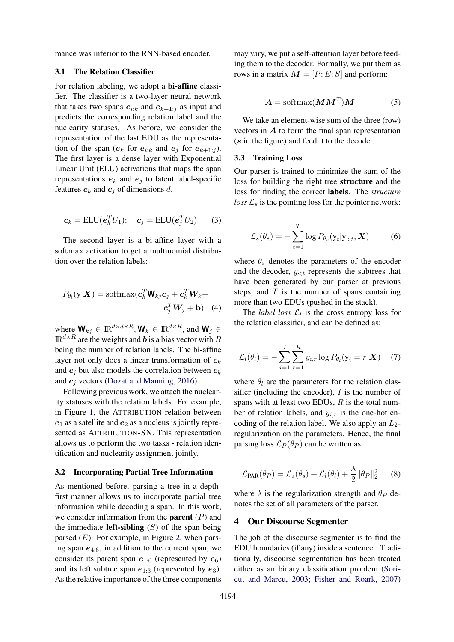mance was inferior to the RNN-based encoder.

## 3.1 The Relation Classifier

For relation labeling, we adopt a bi-affine classifier. The classifier is a two-layer neural network that takes two spans  $e_{i:k}$  and  $e_{k+1:i}$  as input and predicts the corresponding relation label and the nuclearity statuses. As before, we consider the representation of the last EDU as the representation of the span ( $e_k$  for  $e_{i:k}$  and  $e_j$  for  $e_{k+1:j}$ ). The first layer is a dense layer with Exponential Linear Unit (ELU) activations that maps the span representations  $e_k$  and  $e_i$  to latent label-specific features  $c_k$  and  $c_j$  of dimensions d.

$$
\boldsymbol{c}_k = \text{ELU}(\boldsymbol{e}_k^T U_1); \quad \boldsymbol{c}_j = \text{ELU}(\boldsymbol{e}_j^T U_2) \tag{3}
$$

The second layer is a bi-affine layer with a softmax activation to get a multinomial distribution over the relation labels:

$$
P_{\theta_l}(\mathbf{y}|\mathbf{X}) = \text{softmax}(\mathbf{c}_k^T \mathbf{W}_{kj} \mathbf{c}_j + \mathbf{c}_k^T \mathbf{W}_k + \mathbf{c}_j^T \mathbf{W}_j + \mathbf{b}) \quad (4)
$$

where  $\mathbf{W}_{kj} \in \mathbb{R}^{d \times d \times R}$ ,  $\mathbf{W}_k \in \mathbb{R}^{d \times R}$ , and  $\mathbf{W}_j \in$  $\mathbb{R}^{d \times R}$  are the weights and b is a bias vector with R being the number of relation labels. The bi-affine layer not only does a linear transformation of  $c_k$ and  $c_i$  but also models the correlation between  $c_k$ and  $c_j$  vectors [\(Dozat and Manning,](#page-9-19) [2016\)](#page-9-19).

Following previous work, we attach the nuclearity statuses with the relation labels. For example, in Figure [1,](#page-0-0) the ATTRIBUTION relation between  $e_1$  as a satellite and  $e_2$  as a nucleus is jointly represented as ATTRIBUTION-SN. This representation allows us to perform the two tasks - relation identification and nuclearity assignment jointly.

## 3.2 Incorporating Partial Tree Information

As mentioned before, parsing a tree in a depthfirst manner allows us to incorporate partial tree information while decoding a span. In this work, we consider information from the **parent**  $(P)$  and the immediate **left-sibling**  $(S)$  of the span being parsed  $(E)$ . For example, in Figure [2,](#page-3-0) when parsing span  $e_{4:6}$ , in addition to the current span, we consider its parent span  $e_{1:6}$  (represented by  $e_6$ ) and its left subtree span  $e_{1:3}$  (represented by  $e_3$ ). As the relative importance of the three components

may vary, we put a self-attention layer before feeding them to the decoder. Formally, we put them as rows in a matrix  $M = [P; E; S]$  and perform:

$$
A = \text{softmax}(M M^T) M \tag{5}
$$

We take an element-wise sum of the three (row) vectors in  $\boldsymbol{A}$  to form the final span representation (s in the figure) and feed it to the decoder.

#### 3.3 Training Loss

Our parser is trained to minimize the sum of the loss for building the right tree structure and the loss for finding the correct labels. The *structure loss*  $\mathcal{L}_s$  is the pointing loss for the pointer network:

$$
\mathcal{L}_s(\theta_s) = -\sum_{t=1}^T \log P_{\theta_s}(y_t|y_{< t}, \boldsymbol{X}) \tag{6}
$$

where  $\theta_s$  denotes the parameters of the encoder and the decoder,  $y_{< t}$  represents the subtrees that have been generated by our parser at previous steps, and  $T$  is the number of spans containing more than two EDUs (pushed in the stack).

The *label loss*  $\mathcal{L}_l$  is the cross entropy loss for the relation classifier, and can be defined as:

$$
\mathcal{L}_l(\theta_l) = -\sum_{i=1}^I \sum_{r=1}^R y_{i,r} \log P_{\theta_l}(\mathbf{y}_i = r | \mathbf{X}) \quad (7)
$$

where  $\theta_l$  are the parameters for the relation classifier (including the encoder),  $I$  is the number of spans with at least two EDUs,  $R$  is the total number of relation labels, and  $y_{i,r}$  is the one-hot encoding of the relation label. We also apply an  $L_2$ regularization on the parameters. Hence, the final parsing loss  $\mathcal{L}_P(\theta_P)$  can be written as:

$$
\mathcal{L}_{\text{PAR}}(\theta_P) = \mathcal{L}_s(\theta_s) + \mathcal{L}_l(\theta_l) + \frac{\lambda}{2} ||\theta_P||_2^2 \qquad (8)
$$

where  $\lambda$  is the regularization strength and  $\theta_P$  denotes the set of all parameters of the parser.

#### <span id="page-4-0"></span>4 Our Discourse Segmenter

The job of the discourse segmenter is to find the EDU boundaries (if any) inside a sentence. Traditionally, discourse segmentation has been treated either as an binary classification problem [\(Sori](#page-10-1)[cut and Marcu,](#page-10-1) [2003;](#page-10-1) [Fisher and Roark,](#page-9-11) [2007\)](#page-9-11)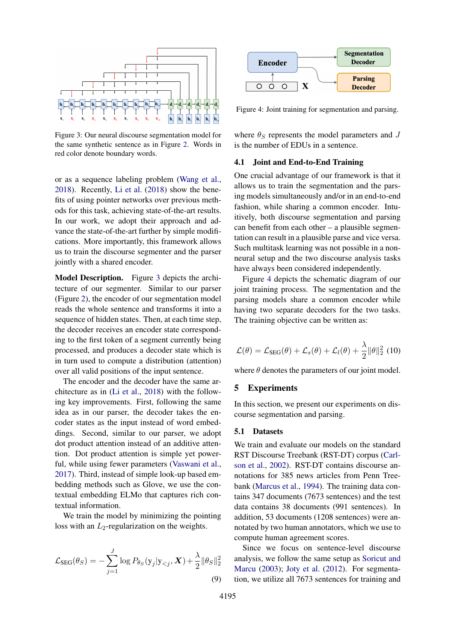<span id="page-5-0"></span>

Figure 3: Our neural discourse segmentation model for the same synthetic sentence as in Figure [2.](#page-3-0) Words in red color denote boundary words.

or as a sequence labeling problem [\(Wang et al.,](#page-10-6) [2018\)](#page-10-6). Recently, [Li et al.](#page-9-14) [\(2018\)](#page-9-14) show the benefits of using pointer networks over previous methods for this task, achieving state-of-the-art results. In our work, we adopt their approach and advance the state-of-the-art further by simple modifications. More importantly, this framework allows us to train the discourse segmenter and the parser jointly with a shared encoder.

Model Description. Figure [3](#page-5-0) depicts the architecture of our segmenter. Similar to our parser (Figure [2\)](#page-3-0), the encoder of our segmentation model reads the whole sentence and transforms it into a sequence of hidden states. Then, at each time step, the decoder receives an encoder state corresponding to the first token of a segment currently being processed, and produces a decoder state which is in turn used to compute a distribution (attention) over all valid positions of the input sentence.

The encoder and the decoder have the same architecture as in [\(Li et al.,](#page-9-14) [2018\)](#page-9-14) with the following key improvements. First, following the same idea as in our parser, the decoder takes the encoder states as the input instead of word embeddings. Second, similar to our parser, we adopt dot product attention instead of an additive attention. Dot product attention is simple yet powerful, while using fewer parameters [\(Vaswani et al.,](#page-10-10) [2017\)](#page-10-10). Third, instead of simple look-up based embedding methods such as Glove, we use the contextual embedding ELMo that captures rich contextual information.

We train the model by minimizing the pointing loss with an  $L_2$ -regularization on the weights.

$$
\mathcal{L}_{\text{SEG}}(\theta_S) = -\sum_{j=1}^{J} \log P_{\theta_S}(y_j | y_{\n(9)
$$

<span id="page-5-1"></span>

Figure 4: Joint training for segmentation and parsing.

where  $\theta_S$  represents the model parameters and J is the number of EDUs in a sentence.

## 4.1 Joint and End-to-End Training

One crucial advantage of our framework is that it allows us to train the segmentation and the parsing models simultaneously and/or in an end-to-end fashion, while sharing a common encoder. Intuitively, both discourse segmentation and parsing can benefit from each other – a plausible segmentation can result in a plausible parse and vice versa. Such multitask learning was not possible in a nonneural setup and the two discourse analysis tasks have always been considered independently.

Figure [4](#page-5-1) depicts the schematic diagram of our joint training process. The segmentation and the parsing models share a common encoder while having two separate decoders for the two tasks. The training objective can be written as:

$$
\mathcal{L}(\theta) = \mathcal{L}_{\text{SEG}}(\theta) + \mathcal{L}_s(\theta) + \mathcal{L}_l(\theta) + \frac{\lambda}{2} ||\theta||_2^2
$$
 (10)

where  $\theta$  denotes the parameters of our joint model.

## 5 Experiments

In this section, we present our experiments on discourse segmentation and parsing.

#### 5.1 Datasets

We train and evaluate our models on the standard RST Discourse Treebank (RST-DT) corpus [\(Carl](#page-9-20)[son et al.,](#page-9-20) [2002\)](#page-9-20). RST-DT contains discourse annotations for 385 news articles from Penn Treebank [\(Marcus et al.,](#page-10-11) [1994\)](#page-10-11). The training data contains 347 documents (7673 sentences) and the test data contains 38 documents (991 sentences). In addition, 53 documents (1208 sentences) were annotated by two human annotators, which we use to compute human agreement scores.

Since we focus on sentence-level discourse analysis, we follow the same setup as [Soricut and](#page-10-1) [Marcu](#page-10-1) [\(2003\)](#page-10-1); [Joty et al.](#page-9-2) [\(2012\)](#page-9-2). For segmentation, we utilize all 7673 sentences for training and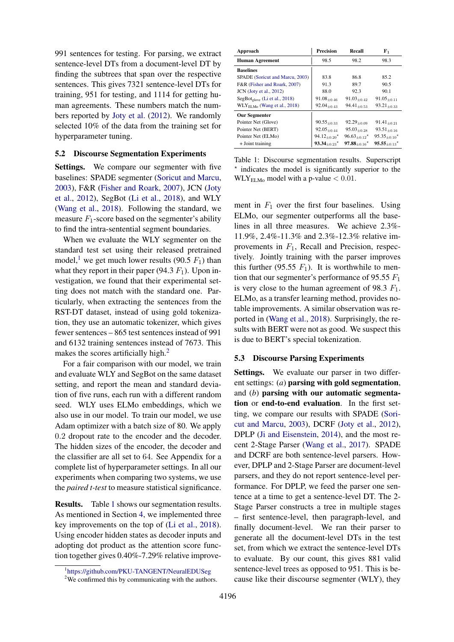991 sentences for testing. For parsing, we extract sentence-level DTs from a document-level DT by finding the subtrees that span over the respective sentences. This gives 7321 sentence-level DTs for training, 951 for testing, and 1114 for getting human agreements. These numbers match the numbers reported by [Joty et al.](#page-9-2) [\(2012\)](#page-9-2). We randomly selected 10% of the data from the training set for hyperparameter tuning.

## 5.2 Discourse Segmentation Experiments

Settings. We compare our segmenter with five baselines: SPADE segmenter [\(Soricut and Marcu,](#page-10-1) [2003\)](#page-10-1), F&R [\(Fisher and Roark,](#page-9-11) [2007\)](#page-9-11), JCN [\(Joty](#page-9-2) [et al.,](#page-9-2) [2012\)](#page-9-2), SegBot [\(Li et al.,](#page-9-14) [2018\)](#page-9-14), and WLY [\(Wang et al.,](#page-10-6) [2018\)](#page-10-6). Following the standard, we measure  $F_1$ -score based on the segmenter's ability to find the intra-sentential segment boundaries.

When we evaluate the WLY segmenter on the standard test set using their released pretrained model,<sup>[1](#page-6-0)</sup> we get much lower results (90.5  $F_1$ ) than what they report in their paper (94.3  $F_1$ ). Upon investigation, we found that their experimental setting does not match with the standard one. Particularly, when extracting the sentences from the RST-DT dataset, instead of using gold tokenization, they use an automatic tokenizer, which gives fewer sentences – 865 test sentences instead of 991 and 6132 training sentences instead of 7673. This makes the scores artificially high.<sup>[2](#page-6-1)</sup>

For a fair comparison with our model, we train and evaluate WLY and SegBot on the same dataset setting, and report the mean and standard deviation of five runs, each run with a different random seed. WLY uses ELMo embeddings, which we also use in our model. To train our model, we use Adam optimizer with a batch size of 80. We apply 0.2 dropout rate to the encoder and the decoder. The hidden sizes of the encoder, the decoder and the classifier are all set to 64. See Appendix for a complete list of hyperparameter settings. In all our experiments when comparing two systems, we use the *paired t-test* to measure statistical significance.

Results. Table [1](#page-6-2) shows our segmentation results. As mentioned in Section [4,](#page-4-0) we implemented three key improvements on the top of [\(Li et al.,](#page-9-14) [2018\)](#page-9-14). Using encoder hidden states as decoder inputs and adopting dot product as the attention score function together gives 0.40%-7.29% relative improve-

<span id="page-6-2"></span>

| Approach                                  | <b>Precision</b>        | Recall                          | F <sub>1</sub>               |
|-------------------------------------------|-------------------------|---------------------------------|------------------------------|
| <b>Human Agreement</b>                    | 98.5                    | 98.2                            | 98.3                         |
| <b>Baselines</b>                          |                         |                                 |                              |
| SPADE (Soricut and Marcu, 2003)           | 83.8                    | 86.8                            | 85.2                         |
| F&R (Fisher and Roark, 2007)              | 91.3                    | 89.7                            | 90.5                         |
| $JCN$ (Joty et al., 2012)                 | 88.0                    | 92.3                            | 90.1                         |
| $SegBot_{\text{elove}}$ (Li et al., 2018) | $91.08 + 0.46$          | $91.03_{\pm 0.42}$              | $91.05_{\pm 0.11}$           |
| $WLYELMo$ (Wang et al., 2018)             | $92.04_{+0.43}$         | $94.41_{+0.53}$                 | $93.21_{+0.33}$              |
| <b>Our Segmenter</b>                      |                         |                                 |                              |
| Pointer Net (Glove)                       | $90.55_{+0.33}$         | $92.29_{+0.09}$                 | $91.41_{\pm 0.21}$           |
| Pointer Net (BERT)                        | $92.05 + 0.44$          | $95.03_{\pm 0.28}$              | $93.51_{\pm 0.16}$           |
| Pointer Net (ELMo)                        | $94.12_{+0.20}$ *       | $96.63_{\pm 0.12}$ <sup>*</sup> | $95.35_{+0.10}$ *            |
| $+$ Joint training                        | $93.34_{+0.23}^{\star}$ | $97.88_{+0.16}$ *               | $95.55_{+0.13}$ <sup>*</sup> |

Table 1: Discourse segmentation results. Superscript \* indicates the model is significantly superior to the  $WLY<sub>ELMo</sub>$  model with a p-value  $< 0.01$ .

ment in  $F_1$  over the first four baselines. Using ELMo, our segmenter outperforms all the baselines in all three measures. We achieve 2.3%- 11.9%, 2.4%-11.3% and 2.3%-12.3% relative improvements in  $F_1$ , Recall and Precision, respectively. Jointly training with the parser improves this further (95.55  $F_1$ ). It is worthwhile to mention that our segmenter's performance of 95.55  $F_1$ is very close to the human agreement of 98.3  $F_1$ . ELMo, as a transfer learning method, provides notable improvements. A similar observation was reported in [\(Wang et al.,](#page-10-6) [2018\)](#page-10-6). Surprisingly, the results with BERT were not as good. We suspect this is due to BERT's special tokenization.

## 5.3 Discourse Parsing Experiments

Settings. We evaluate our parser in two different settings: (*a*) parsing with gold segmentation, and (*b*) parsing with our automatic segmentation or end-to-end evaluation. In the first setting, we compare our results with SPADE [\(Sori](#page-10-1)[cut and Marcu,](#page-10-1) [2003\)](#page-10-1), DCRF [\(Joty et al.,](#page-9-2) [2012\)](#page-9-2), DPLP [\(Ji and Eisenstein,](#page-9-6) [2014\)](#page-9-6), and the most recent 2-Stage Parser [\(Wang et al.,](#page-10-2) [2017\)](#page-10-2). SPADE and DCRF are both sentence-level parsers. However, DPLP and 2-Stage Parser are document-level parsers, and they do not report sentence-level performance. For DPLP, we feed the parser one sentence at a time to get a sentence-level DT. The 2- Stage Parser constructs a tree in multiple stages – first sentence-level, then paragraph-level, and finally document-level. We ran their parser to generate all the document-level DTs in the test set, from which we extract the sentence-level DTs to evaluate. By our count, this gives 881 valid sentence-level trees as opposed to 951. This is because like their discourse segmenter (WLY), they

<span id="page-6-0"></span><sup>1</sup> <https://github.com/PKU-TANGENT/NeuralEDUSeg>

<span id="page-6-1"></span><sup>&</sup>lt;sup>2</sup>We confirmed this by communicating with the authors.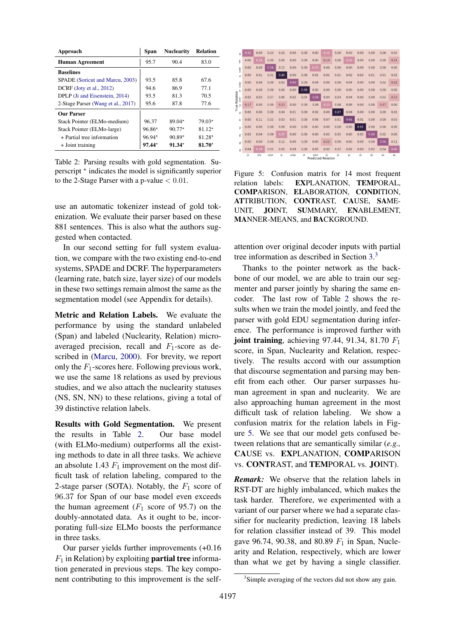<span id="page-7-0"></span>

| Approach                           | Span     | <b>Nuclearity</b> | <b>Relation</b> |
|------------------------------------|----------|-------------------|-----------------|
| <b>Human Agreement</b>             | 95.7     | 90.4              | 83.0            |
| <b>Baselines</b>                   |          |                   |                 |
| SPADE (Soricut and Marcu, 2003)    | 93.5     | 85.8              | 67.6            |
| DCRF (Joty et al., 2012)           | 94.6     | 86.9              | 77 1            |
| DPLP (Ji and Eisenstein, 2014)     | 93.5     | 813               | 70.5            |
| 2-Stage Parser (Wang et al., 2017) | 95.6     | 87.8              | 77.6            |
| <b>Our Parser</b>                  |          |                   |                 |
| Stack Pointer (ELMo-medium)        | 96.37    | $89.04*$          | $79.03*$        |
| Stack Pointer (ELMo-large)         | $96.86*$ | $90.77*$          | $81.12*$        |
| $+$ Partial tree information       | $96.94*$ | $90.89*$          | $81.28*$        |
| $+$ Joint training                 | $97.44*$ | $91.34*$          | $81.70*$        |

Table 2: Parsing results with gold segmentation. Superscript  $*$  indicates the model is significantly superior to the 2-Stage Parser with a p-value  $< 0.01$ .

use an automatic tokenizer instead of gold tokenization. We evaluate their parser based on these 881 sentences. This is also what the authors suggested when contacted.

In our second setting for full system evaluation, we compare with the two existing end-to-end systems, SPADE and DCRF. The hyperparameters (learning rate, batch size, layer size) of our models in these two settings remain almost the same as the segmentation model (see Appendix for details).

Metric and Relation Labels. We evaluate the performance by using the standard unlabeled (Span) and labeled (Nuclearity, Relation) microaveraged precision, recall and  $F_1$ -score as described in [\(Marcu,](#page-10-12) [2000\)](#page-10-12). For brevity, we report only the  $F_1$ -scores here. Following previous work, we use the same 18 relations as used by previous studies, and we also attach the nuclearity statuses (NS, SN, NN) to these relations, giving a total of 39 distinctive relation labels.

Results with Gold Segmentation. We present the results in Table [2.](#page-7-0) Our base model (with ELMo-medium) outperforms all the existing methods to date in all three tasks. We achieve an absolute 1.43  $F_1$  improvement on the most difficult task of relation labeling, compared to the 2-stage parser (SOTA). Notably, the  $F_1$  score of 96.37 for Span of our base model even exceeds the human agreement  $(F_1 \text{ score of } 95.7)$  on the doubly-annotated data. As it ought to be, incorporating full-size ELMo boosts the performance in three tasks.

Our parser yields further improvements (+0.16  $F_1$  in Relation) by exploiting **partial tree** information generated in previous steps. The key component contributing to this improvement is the self-

<span id="page-7-2"></span>

Figure 5: Confusion matrix for 14 most frequent relation labels: EXPLANATION, TEMPORAL, COMPARISON, ELABORATION, CONDITION, ATTRIBUTION, CONTRAST, CAUSE, SAME-UNIT, JOINT, SUMMARY, ENABLEMENT, MANNER-MEANS, and BACKGROUND.

attention over original decoder inputs with partial tree information as described in Section [3.](#page-2-1) [3](#page-7-1)

Thanks to the pointer network as the backbone of our model, we are able to train our segmenter and parser jointly by sharing the same encoder. The last row of Table [2](#page-7-0) shows the results when we train the model jointly, and feed the parser with gold EDU segmentation during inference. The performance is improved further with joint training, achieving 97.44, 91.34, 81.70  $F_1$ score, in Span, Nuclearity and Relation, respectively. The results accord with our assumption that discourse segmentation and parsing may benefit from each other. Our parser surpasses human agreement in span and nuclearity. We are also approaching human agreement in the most difficult task of relation labeling. We show a confusion matrix for the relation labels in Figure [5.](#page-7-2) We see that our model gets confused between relations that are semantically similar (*e.g.,* CAUSE vs. EXPLANATION, COMPARISON vs. CONTRAST, and TEMPORAL vs. JOINT).

*Remark:* We observe that the relation labels in RST-DT are highly imbalanced, which makes the task harder. Therefore, we experimented with a variant of our parser where we had a separate classifier for nuclearity prediction, leaving 18 labels for relation classifier instead of 39. This model gave 96.74, 90.38, and 80.89  $F_1$  in Span, Nuclearity and Relation, respectively, which are lower than what we get by having a single classifier.

<span id="page-7-1"></span><sup>&</sup>lt;sup>3</sup>Simple averaging of the vectors did not show any gain.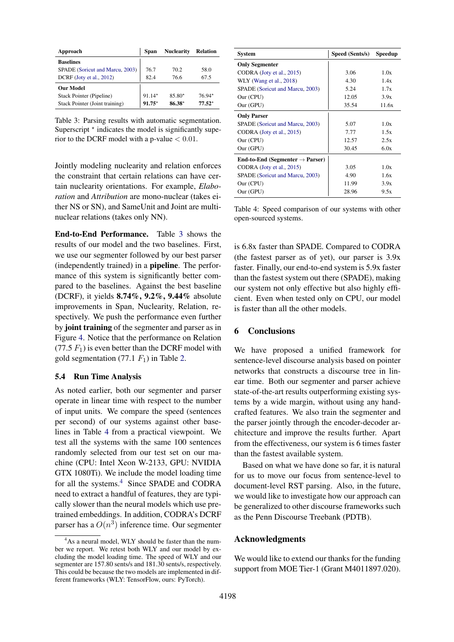<span id="page-8-0"></span>

| Approach                        | <b>Span</b> | <b>Nuclearity</b> | <b>Relation</b> |
|---------------------------------|-------------|-------------------|-----------------|
| <b>Baselines</b>                |             |                   |                 |
| SPADE (Soricut and Marcu, 2003) | 767         | 70 2              | 58.0            |
| DCRF (Joty et al., 2012)        | 82.4        | 76.6              | 67.5            |
| <b>Our Model</b>                |             |                   |                 |
| Stack Pointer (Pipeline)        | $91.14*$    | $85.80*$          | $76.94*$        |
| Stack Pointer (Joint training)  | $91.75*$    | $86.38*$          | $77.52*$        |

Table 3: Parsing results with automatic segmentation. Superscript  $*$  indicates the model is significantly superior to the DCRF model with a p-value  $< 0.01$ .

Jointly modeling nuclearity and relation enforces the constraint that certain relations can have certain nuclearity orientations. For example, *Elaboration* and *Attribution* are mono-nuclear (takes either NS or SN), and SameUnit and Joint are multinuclear relations (takes only NN).

End-to-End Performance. Table [3](#page-8-0) shows the results of our model and the two baselines. First, we use our segmenter followed by our best parser (independently trained) in a pipeline. The performance of this system is significantly better compared to the baselines. Against the best baseline (DCRF), it yields 8.74%, 9.2%, 9.44% absolute improvements in Span, Nuclearity, Relation, respectively. We push the performance even further by joint training of the segmenter and parser as in Figure [4.](#page-5-1) Notice that the performance on Relation  $(77.5 F<sub>1</sub>)$  is even better than the DCRF model with gold segmentation (77.1  $F_1$ ) in Table [2.](#page-7-0)

### 5.4 Run Time Analysis

As noted earlier, both our segmenter and parser operate in linear time with respect to the number of input units. We compare the speed (sentences per second) of our systems against other baselines in Table [4](#page-8-1) from a practical viewpoint. We test all the systems with the same 100 sentences randomly selected from our test set on our machine (CPU: Intel Xeon W-2133, GPU: NVIDIA GTX 1080Ti). We include the model loading time for all the systems.<sup>[4](#page-8-2)</sup> Since SPADE and CODRA need to extract a handful of features, they are typically slower than the neural models which use pretrained embeddings. In addition, CODRA's DCRF parser has a  $O(n^3)$  inference time. Our segmenter

<span id="page-8-1"></span>

| <b>System</b>                               | Speed (Sents/s) | Speedup |
|---------------------------------------------|-----------------|---------|
| <b>Only Segmenter</b>                       |                 |         |
| CODRA (Joty et al., 2015)                   | 3.06            | 1.0x    |
| WLY (Wang et al., 2018)                     | 4.30            | 1.4x    |
| SPADE (Soricut and Marcu, 2003)             | 5.24            | 1.7x    |
| Our (CPU)                                   | 12.05           | 3.9x    |
| Our (GPU)                                   | 35.54           | 11.6x   |
| <b>Only Parser</b>                          |                 |         |
| SPADE (Soricut and Marcu, 2003)             | 5.07            | 1.0x    |
| CODRA (Joty et al., 2015)                   | 7.77            | 1.5x    |
| Our (CPU)                                   | 12.57           | 2.5x    |
| Our (GPU)                                   | 30.45           | 6.0x    |
| End-to-End (Segmenter $\rightarrow$ Parser) |                 |         |
| CODRA (Joty et al., 2015)                   | 3.05            | 1.0x    |
| SPADE (Soricut and Marcu, 2003)             | 4.90            | 1.6x    |
| Our (CPU)                                   | 11.99           | 3.9x    |
| Our (GPU)                                   | 28.96           | 9.5x    |

Table 4: Speed comparison of our systems with other open-sourced systems.

is 6.8x faster than SPADE. Compared to CODRA (the fastest parser as of yet), our parser is 3.9x faster. Finally, our end-to-end system is 5.9x faster than the fastest system out there (SPADE), making our system not only effective but also highly efficient. Even when tested only on CPU, our model is faster than all the other models.

## 6 Conclusions

We have proposed a unified framework for sentence-level discourse analysis based on pointer networks that constructs a discourse tree in linear time. Both our segmenter and parser achieve state-of-the-art results outperforming existing systems by a wide margin, without using any handcrafted features. We also train the segmenter and the parser jointly through the encoder-decoder architecture and improve the results further. Apart from the effectiveness, our system is 6 times faster than the fastest available system.

Based on what we have done so far, it is natural for us to move our focus from sentence-level to document-level RST parsing. Also, in the future, we would like to investigate how our approach can be generalized to other discourse frameworks such as the Penn Discourse Treebank (PDTB).

## Acknowledgments

We would like to extend our thanks for the funding support from MOE Tier-1 (Grant M4011897.020).

<span id="page-8-2"></span><sup>&</sup>lt;sup>4</sup>As a neural model, WLY should be faster than the number we report. We retest both WLY and our model by excluding the model loading time. The speed of WLY and our segmenter are 157.80 sents/s and 181.30 sents/s, respectively. This could be because the two models are implemented in different frameworks (WLY: TensorFlow, ours: PyTorch).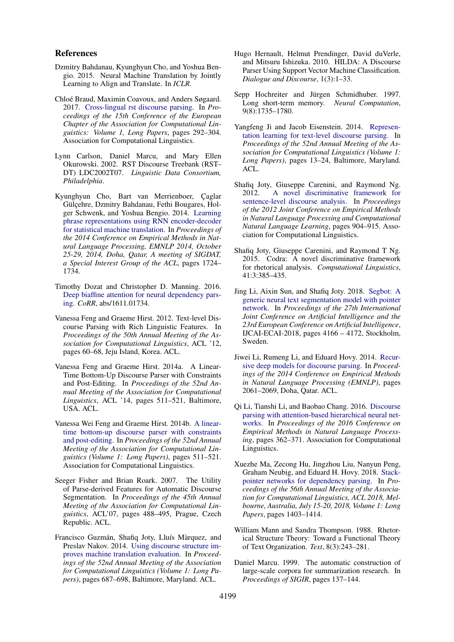#### References

- <span id="page-9-16"></span>Dzmitry Bahdanau, Kyunghyun Cho, and Yoshua Bengio. 2015. Neural Machine Translation by Jointly Learning to Align and Translate. In *ICLR*.
- <span id="page-9-10"></span>Chloé Braud, Maximin Coavoux, and Anders Søgaard. 2017. [Cross-lingual rst discourse parsing.](http://aclweb.org/anthology/E17-1028) In *Proceedings of the 15th Conference of the European Chapter of the Association for Computational Linguistics: Volume 1, Long Papers*, pages 292–304. Association for Computational Linguistics.
- <span id="page-9-20"></span>Lynn Carlson, Daniel Marcu, and Mary Ellen Okurowski. 2002. RST Discourse Treebank (RST– DT) LDC2002T07. *Linguistic Data Consortium, Philadelphia*.
- <span id="page-9-17"></span>Kyunghyun Cho, Bart van Merrienboer, Çaglar Gülçehre, Dzmitry Bahdanau, Fethi Bougares, Holger Schwenk, and Yoshua Bengio. 2014. [Learning](http://aclweb.org/anthology/D/D14/D14-1179.pdf) [phrase representations using RNN encoder-decoder](http://aclweb.org/anthology/D/D14/D14-1179.pdf) [for statistical machine translation.](http://aclweb.org/anthology/D/D14/D14-1179.pdf) In *Proceedings of the 2014 Conference on Empirical Methods in Natural Language Processing, EMNLP 2014, October 25-29, 2014, Doha, Qatar, A meeting of SIGDAT, a Special Interest Group of the ACL*, pages 1724– 1734.
- <span id="page-9-19"></span>Timothy Dozat and Christopher D. Manning. 2016. [Deep biaffine attention for neural dependency pars](http://arxiv.org/abs/1611.01734)[ing.](http://arxiv.org/abs/1611.01734) *CoRR*, abs/1611.01734.
- <span id="page-9-9"></span>Vanessa Feng and Graeme Hirst. 2012. Text-level Discourse Parsing with Rich Linguistic Features. In *Proceedings of the 50th Annual Meeting of the Association for Computational Linguistics*, ACL '12, pages 60–68, Jeju Island, Korea. ACL.
- <span id="page-9-13"></span>Vanessa Feng and Graeme Hirst. 2014a. A Linear-Time Bottom-Up Discourse Parser with Constraints and Post-Editing. In *Proceedings of the 52nd Annual Meeting of the Association for Computational Linguistics*, ACL '14, pages 511–521, Baltimore, USA. ACL.
- <span id="page-9-3"></span>Vanessa Wei Feng and Graeme Hirst. 2014b. [A linear](https://doi.org/10.3115/v1/P14-1048)[time bottom-up discourse parser with constraints](https://doi.org/10.3115/v1/P14-1048) [and post-editing.](https://doi.org/10.3115/v1/P14-1048) In *Proceedings of the 52nd Annual Meeting of the Association for Computational Linguistics (Volume 1: Long Papers)*, pages 511–521. Association for Computational Linguistics.
- <span id="page-9-11"></span>Seeger Fisher and Brian Roark. 2007. The Utility of Parse-derived Features for Automatic Discourse Segmentation. In *Proceedings of the 45th Annual Meeting of the Association for Computational Linguistics*, ACL'07, pages 488–495, Prague, Czech Republic. ACL.
- <span id="page-9-1"></span>Francisco Guzmán, Shafiq Joty, Lluís Màrquez, and Preslav Nakov. 2014. [Using discourse structure im](http://www.aclweb.org/anthology/P14-1065)[proves machine translation evaluation.](http://www.aclweb.org/anthology/P14-1065) In *Proceedings of the 52nd Annual Meeting of the Association for Computational Linguistics (Volume 1: Long Papers)*, pages 687–698, Baltimore, Maryland. ACL.
- <span id="page-9-12"></span>Hugo Hernault, Helmut Prendinger, David duVerle, and Mitsuru Ishizuka. 2010. HILDA: A Discourse Parser Using Support Vector Machine Classification. *Dialogue and Discourse*, 1(3):1–33.
- <span id="page-9-18"></span>Sepp Hochreiter and Jürgen Schmidhuber. 1997. Long short-term memory. *Neural Computation*, 9(8):1735–1780.
- <span id="page-9-6"></span>Yangfeng Ji and Jacob Eisenstein. 2014. [Represen](http://www.aclweb.org/anthology/P/P14/P14-1002)[tation learning for text-level discourse parsing.](http://www.aclweb.org/anthology/P/P14/P14-1002) In *Proceedings of the 52nd Annual Meeting of the Association for Computational Linguistics (Volume 1: Long Papers)*, pages 13–24, Baltimore, Maryland. ACL.
- <span id="page-9-2"></span>Shafiq Joty, Giuseppe Carenini, and Raymond Ng. 2012. [A novel discriminative framework for](http://aclweb.org/anthology/D12-1083) [sentence-level discourse analysis.](http://aclweb.org/anthology/D12-1083) In *Proceedings of the 2012 Joint Conference on Empirical Methods in Natural Language Processing and Computational Natural Language Learning*, pages 904–915. Association for Computational Linguistics.
- <span id="page-9-4"></span>Shafiq Joty, Giuseppe Carenini, and Raymond T Ng. 2015. Codra: A novel discriminative framework for rhetorical analysis. *Computational Linguistics*, 41:3:385–435.
- <span id="page-9-14"></span>Jing Li, Aixin Sun, and Shafiq Joty. 2018. [Segbot: A](https://www.ijcai.org/proceedings/2018/0579.pdf) [generic neural text segmentation model with pointer](https://www.ijcai.org/proceedings/2018/0579.pdf) [network.](https://www.ijcai.org/proceedings/2018/0579.pdf) In *Proceedings of the 27th International Joint Conference on Artificial Intelligence and the 23rd European Conference on Artificial Intelligence*, IJCAI-ECAI-2018, pages 4166 – 4172, Stockholm, Sweden.
- <span id="page-9-5"></span>Jiwei Li, Rumeng Li, and Eduard Hovy. 2014. [Recur](http://www.aclweb.org/anthology/D14-1220)[sive deep models for discourse parsing.](http://www.aclweb.org/anthology/D14-1220) In *Proceedings of the 2014 Conference on Empirical Methods in Natural Language Processing (EMNLP)*, pages 2061–2069, Doha, Qatar. ACL.
- <span id="page-9-7"></span>Qi Li, Tianshi Li, and Baobao Chang. 2016. [Discourse](https://doi.org/10.18653/v1/D16-1035) [parsing with attention-based hierarchical neural net](https://doi.org/10.18653/v1/D16-1035)[works.](https://doi.org/10.18653/v1/D16-1035) In *Proceedings of the 2016 Conference on Empirical Methods in Natural Language Processing*, pages 362–371. Association for Computational Linguistics.
- <span id="page-9-15"></span>Xuezhe Ma, Zecong Hu, Jingzhou Liu, Nanyun Peng, Graham Neubig, and Eduard H. Hovy. 2018. [Stack](https://aclanthology.info/papers/P18-1130/p18-1130)[pointer networks for dependency parsing.](https://aclanthology.info/papers/P18-1130/p18-1130) In *Proceedings of the 56th Annual Meeting of the Association for Computational Linguistics, ACL 2018, Melbourne, Australia, July 15-20, 2018, Volume 1: Long Papers*, pages 1403–1414.
- <span id="page-9-0"></span>William Mann and Sandra Thompson. 1988. Rhetorical Structure Theory: Toward a Functional Theory of Text Organization. *Text*, 8(3):243–281.
- <span id="page-9-8"></span>Daniel Marcu. 1999. The automatic construction of large-scale corpora for summarization research. In *Proceedings of SIGIR*, pages 137–144.